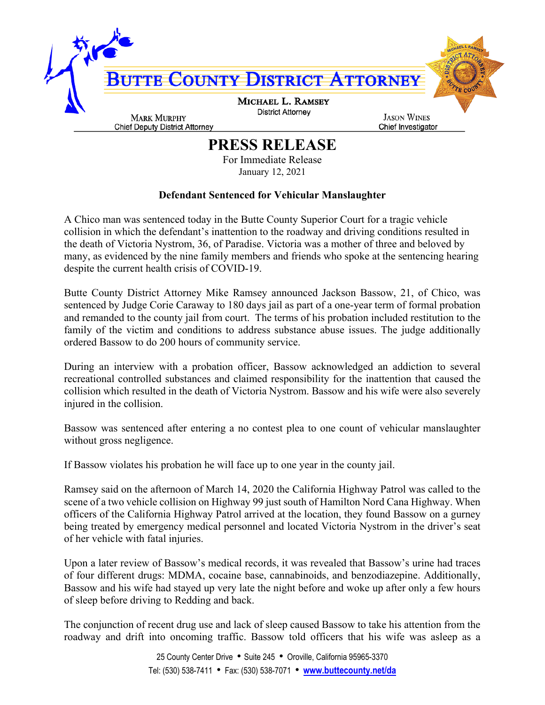

## **PRESS RELEASE**

For Immediate Release January 12, 2021

## **Defendant Sentenced for Vehicular Manslaughter**

A Chico man was sentenced today in the Butte County Superior Court for a tragic vehicle collision in which the defendant's inattention to the roadway and driving conditions resulted in the death of Victoria Nystrom, 36, of Paradise. Victoria was a mother of three and beloved by many, as evidenced by the nine family members and friends who spoke at the sentencing hearing despite the current health crisis of COVID-19.

Butte County District Attorney Mike Ramsey announced Jackson Bassow, 21, of Chico, was sentenced by Judge Corie Caraway to 180 days jail as part of a one-year term of formal probation and remanded to the county jail from court. The terms of his probation included restitution to the family of the victim and conditions to address substance abuse issues. The judge additionally ordered Bassow to do 200 hours of community service.

During an interview with a probation officer, Bassow acknowledged an addiction to several recreational controlled substances and claimed responsibility for the inattention that caused the collision which resulted in the death of Victoria Nystrom. Bassow and his wife were also severely injured in the collision.

Bassow was sentenced after entering a no contest plea to one count of vehicular manslaughter without gross negligence.

If Bassow violates his probation he will face up to one year in the county jail.

Ramsey said on the afternoon of March 14, 2020 the California Highway Patrol was called to the scene of a two vehicle collision on Highway 99 just south of Hamilton Nord Cana Highway. When officers of the California Highway Patrol arrived at the location, they found Bassow on a gurney being treated by emergency medical personnel and located Victoria Nystrom in the driver's seat of her vehicle with fatal injuries.

Upon a later review of Bassow's medical records, it was revealed that Bassow's urine had traces of four different drugs: MDMA, cocaine base, cannabinoids, and benzodiazepine. Additionally, Bassow and his wife had stayed up very late the night before and woke up after only a few hours of sleep before driving to Redding and back.

The conjunction of recent drug use and lack of sleep caused Bassow to take his attention from the roadway and drift into oncoming traffic. Bassow told officers that his wife was asleep as a